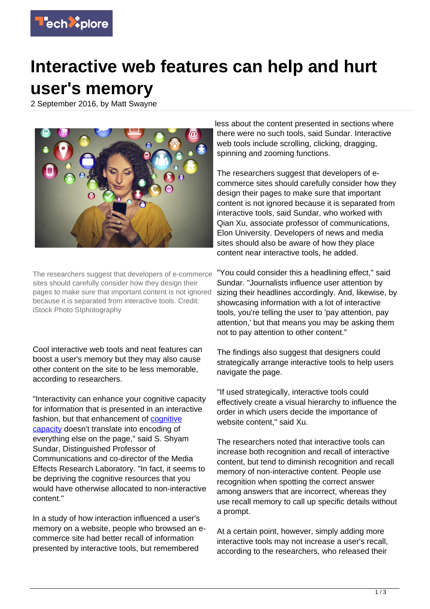

## **Interactive web features can help and hurt**

## **user's memory**

2 September 2016, by Matt Swayne



The researchers suggest that developers of e-commerce sites should carefully consider how they design their pages to make sure that important content is not ignored because it is separated from interactive tools. Credit: iStock Photo SIphotography

Cool interactive web tools and neat features can boost a user's memory but they may also cause other content on the site to be less memorable, according to researchers.

"Interactivity can enhance your cognitive capacity for information that is presented in an interactive fashion, but that enhancement of [cognitive](https://techxplore.com/tags/cognitive+capacity/) [capacity](https://techxplore.com/tags/cognitive+capacity/) doesn't translate into encoding of everything else on the page," said S. Shyam Sundar, Distinguished Professor of Communications and co-director of the Media Effects Research Laboratory. "In fact, it seems to be depriving the cognitive resources that you would have otherwise allocated to non-interactive content."

In a study of how interaction influenced a user's memory on a website, people who browsed an ecommerce site had better recall of information presented by interactive tools, but remembered

less about the content presented in sections where there were no such tools, said Sundar. Interactive web tools include scrolling, clicking, dragging, spinning and zooming functions.

The researchers suggest that developers of ecommerce sites should carefully consider how they design their pages to make sure that important content is not ignored because it is separated from interactive tools, said Sundar, who worked with Qian Xu, associate professor of communications, Elon University. Developers of news and media sites should also be aware of how they place content near interactive tools, he added.

"You could consider this a headlining effect," said Sundar. "Journalists influence user attention by sizing their headlines accordingly. And, likewise, by showcasing information with a lot of interactive tools, you're telling the user to 'pay attention, pay attention,' but that means you may be asking them not to pay attention to other content."

The findings also suggest that designers could strategically arrange interactive tools to help users navigate the page.

"If used strategically, interactive tools could effectively create a visual hierarchy to influence the order in which users decide the importance of website content," said Xu.

The researchers noted that interactive tools can increase both recognition and recall of interactive content, but tend to diminish recognition and recall memory of non-interactive content. People use recognition when spotting the correct answer among answers that are incorrect, whereas they use recall memory to call up specific details without a prompt.

At a certain point, however, simply adding more interactive tools may not increase a user's recall, according to the researchers, who released their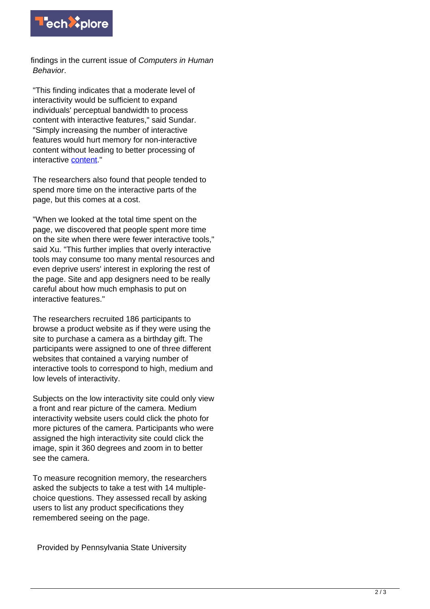

findings in the current issue of Computers in Human Behavior.

"This finding indicates that a moderate level of interactivity would be sufficient to expand individuals' perceptual bandwidth to process content with interactive features," said Sundar. "Simply increasing the number of interactive features would hurt memory for non-interactive content without leading to better processing of interactive [content.](https://techxplore.com/tags/content/)"

The researchers also found that people tended to spend more time on the interactive parts of the page, but this comes at a cost.

"When we looked at the total time spent on the page, we discovered that people spent more time on the site when there were fewer interactive tools," said Xu. "This further implies that overly interactive tools may consume too many mental resources and even deprive users' interest in exploring the rest of the page. Site and app designers need to be really careful about how much emphasis to put on interactive features."

The researchers recruited 186 participants to browse a product website as if they were using the site to purchase a camera as a birthday gift. The participants were assigned to one of three different websites that contained a varying number of interactive tools to correspond to high, medium and low levels of interactivity.

Subjects on the low interactivity site could only view a front and rear picture of the camera. Medium interactivity website users could click the photo for more pictures of the camera. Participants who were assigned the high interactivity site could click the image, spin it 360 degrees and zoom in to better see the camera.

To measure recognition memory, the researchers asked the subjects to take a test with 14 multiplechoice questions. They assessed recall by asking users to list any product specifications they remembered seeing on the page.

Provided by Pennsylvania State University